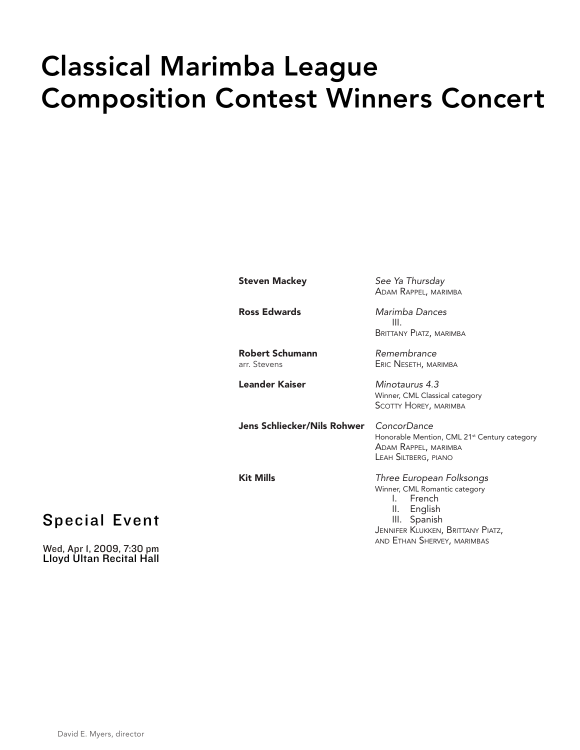# Classical Marimba League Composition Contest Winners Concert

| Steven Mackey                   | See Ya Thursday<br>ADAM RAPPEL, MARIMBA                                                                                                                                                |
|---------------------------------|----------------------------------------------------------------------------------------------------------------------------------------------------------------------------------------|
| Ross Edwards                    | Marimba Dances<br>III.<br>BRITTANY PIATZ, MARIMBA                                                                                                                                      |
| Robert Schumann<br>arr. Stevens | Remembrance<br>ERIC NESETH, MARIMBA                                                                                                                                                    |
| Leander Kaiser                  | Minotaurus 4.3<br>Winner, CML Classical category<br><b>SCOTTY HOREY, MARIMBA</b>                                                                                                       |
| Jens Schliecker/Nils Rohwer     | ConcorDance<br>Honorable Mention, CML 21 <sup>st</sup> Century category<br>ADAM RAPPEL, MARIMBA<br>LEAH SILTBERG, PIANO                                                                |
| <b>Kit Mills</b>                | Three European Folksongs<br>Winner, CML Romantic category<br>French<br>$\mathbf{L}$<br>II. English<br>III. Spanish<br>JENNIFER KLUKKEN, BRITTANY PIATZ,<br>AND ETHAN SHERVEY, MARIMBAS |

## Special Event

Wed, Apr 1, 2009, 7:30 pm Lloyd Ultan Recital Hall